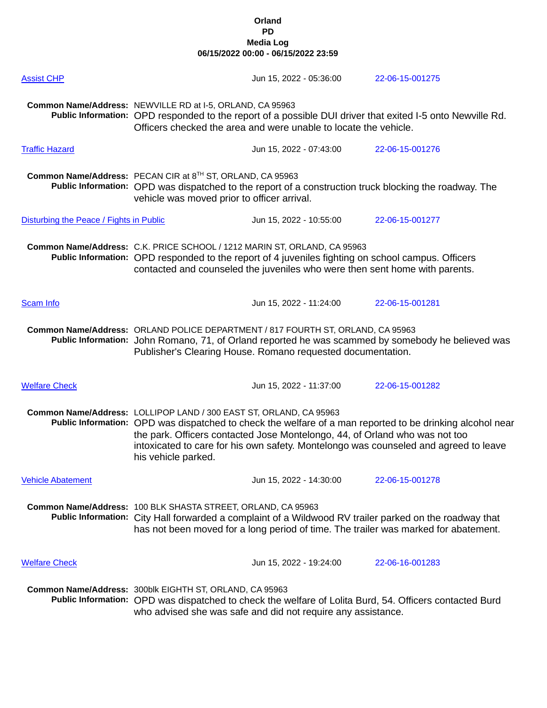## **Orland PD Media Log 06/15/2022 00:00 - 06/15/2022 23:59**

| <b>Assist CHP</b>                       |                                                                                                                                                                                                                                                               | Jun 15, 2022 - 05:36:00                                                     | 22-06-15-001275                                                                                                                                                                                   |  |
|-----------------------------------------|---------------------------------------------------------------------------------------------------------------------------------------------------------------------------------------------------------------------------------------------------------------|-----------------------------------------------------------------------------|---------------------------------------------------------------------------------------------------------------------------------------------------------------------------------------------------|--|
|                                         | Common Name/Address: NEWVILLE RD at I-5, ORLAND, CA 95963                                                                                                                                                                                                     | Officers checked the area and were unable to locate the vehicle.            | Public Information: OPD responded to the report of a possible DUI driver that exited I-5 onto Newville Rd.                                                                                        |  |
| <b>Traffic Hazard</b>                   |                                                                                                                                                                                                                                                               | Jun 15, 2022 - 07:43:00                                                     | 22-06-15-001276                                                                                                                                                                                   |  |
|                                         | Common Name/Address: PECAN CIR at 8TH ST, ORLAND, CA 95963<br>vehicle was moved prior to officer arrival.                                                                                                                                                     |                                                                             | Public Information: OPD was dispatched to the report of a construction truck blocking the roadway. The                                                                                            |  |
| Disturbing the Peace / Fights in Public |                                                                                                                                                                                                                                                               | Jun 15, 2022 - 10:55:00                                                     | 22-06-15-001277                                                                                                                                                                                   |  |
|                                         | Common Name/Address: C.K. PRICE SCHOOL / 1212 MARIN ST, ORLAND, CA 95963<br>Public Information: OPD responded to the report of 4 juveniles fighting on school campus. Officers<br>contacted and counseled the juveniles who were then sent home with parents. |                                                                             |                                                                                                                                                                                                   |  |
| Scam Info                               |                                                                                                                                                                                                                                                               | Jun 15, 2022 - 11:24:00                                                     | 22-06-15-001281                                                                                                                                                                                   |  |
|                                         | Common Name/Address: ORLAND POLICE DEPARTMENT / 817 FOURTH ST, ORLAND, CA 95963<br>Public Information: John Romano, 71, of Orland reported he was scammed by somebody he believed was<br>Publisher's Clearing House. Romano requested documentation.          |                                                                             |                                                                                                                                                                                                   |  |
| <b>Welfare Check</b>                    |                                                                                                                                                                                                                                                               | Jun 15, 2022 - 11:37:00                                                     | 22-06-15-001282                                                                                                                                                                                   |  |
|                                         | Common Name/Address: LOLLIPOP LAND / 300 EAST ST, ORLAND, CA 95963<br>his vehicle parked.                                                                                                                                                                     | the park. Officers contacted Jose Montelongo, 44, of Orland who was not too | Public Information: OPD was dispatched to check the welfare of a man reported to be drinking alcohol near<br>intoxicated to care for his own safety. Montelongo was counseled and agreed to leave |  |
| <b>Vehicle Abatement</b>                |                                                                                                                                                                                                                                                               | Jun 15, 2022 - 14:30:00                                                     | 22-06-15-001278                                                                                                                                                                                   |  |
|                                         | Common Name/Address: 100 BLK SHASTA STREET, ORLAND, CA 95963                                                                                                                                                                                                  |                                                                             | Public Information: City Hall forwarded a complaint of a Wildwood RV trailer parked on the roadway that<br>has not been moved for a long period of time. The trailer was marked for abatement.    |  |
| <b>Welfare Check</b>                    |                                                                                                                                                                                                                                                               | Jun 15, 2022 - 19:24:00                                                     | 22-06-16-001283                                                                                                                                                                                   |  |
|                                         | Common Name/Address: 300blk EIGHTH ST, ORLAND, CA 95963                                                                                                                                                                                                       | who advised she was safe and did not require any assistance.                | Public Information: OPD was dispatched to check the welfare of Lolita Burd, 54. Officers contacted Burd                                                                                           |  |